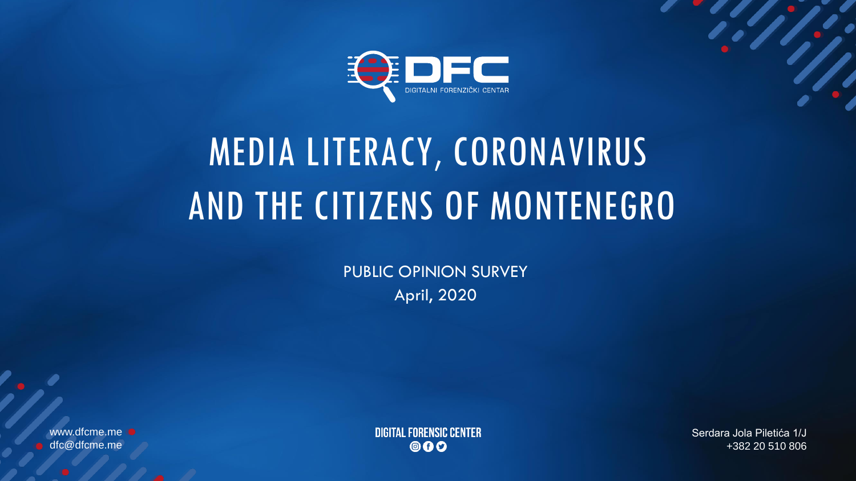

# MEDIA LITERACY, CORONAVIRUS AND THE CITIZENS OF MONTENEGRO

PUBLIC OPINION SURVEY April, 2020

www.dfcme.me dfc@dfcme.me

**DIGITAL FORENSIC CENTER** 000

Serdara Jola Piletića 1/J +382 20 510 806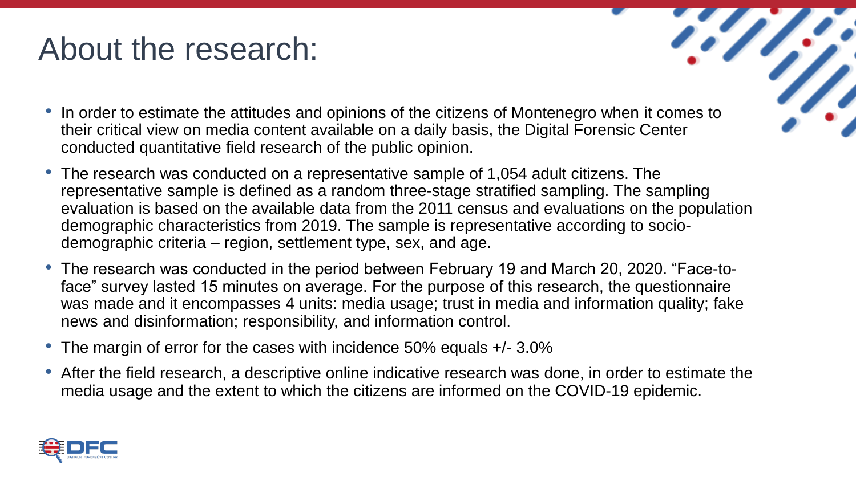## About the research:

- In order to estimate the attitudes and opinions of the citizens of Montenegro when it comes to their critical view on media content available on a daily basis, the Digital Forensic Center conducted quantitative field research of the public opinion.
- The research was conducted on a representative sample of 1,054 adult citizens. The representative sample is defined as a random three-stage stratified sampling. The sampling evaluation is based on the available data from the 2011 census and evaluations on the population demographic characteristics from 2019. The sample is representative according to sociodemographic criteria – region, settlement type, sex, and age.
- The research was conducted in the period between February 19 and March 20, 2020. "Face-toface" survey lasted 15 minutes on average. For the purpose of this research, the questionnaire was made and it encompasses 4 units: media usage; trust in media and information quality; fake news and disinformation; responsibility, and information control.
- The margin of error for the cases with incidence 50% equals  $+/- 3.0\%$
- After the field research, a descriptive online indicative research was done, in order to estimate the media usage and the extent to which the citizens are informed on the COVID-19 epidemic.

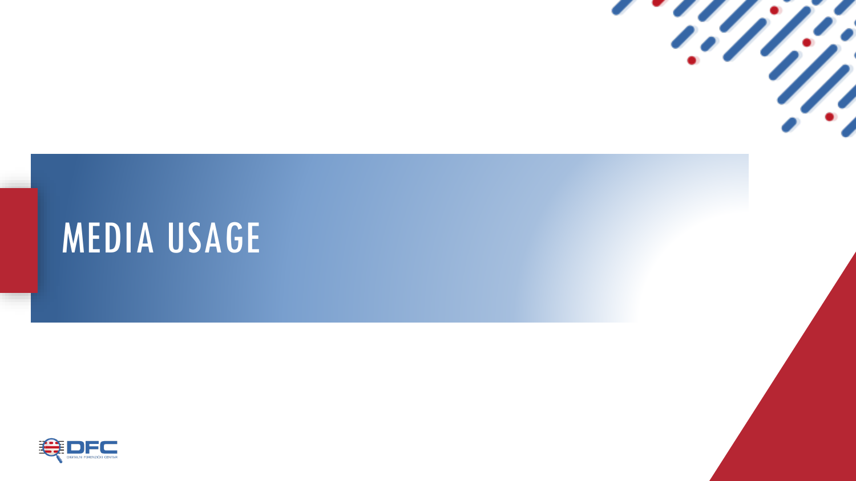

# MEDIA USAGE

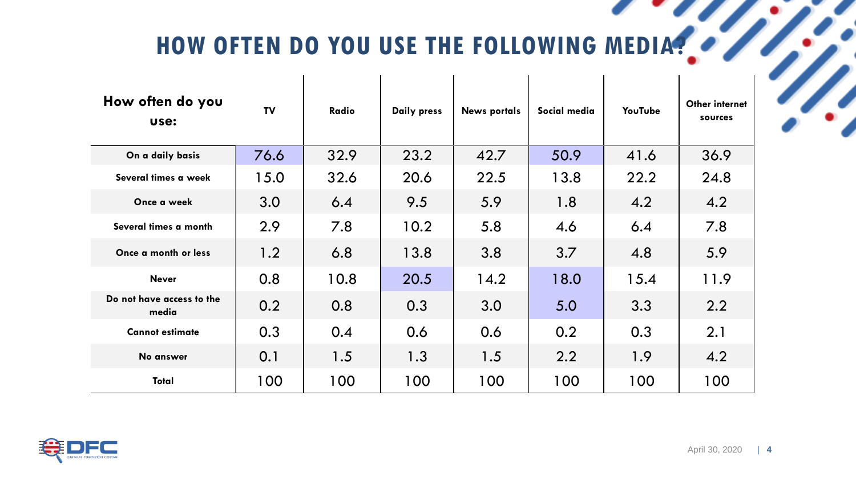HOW OFTEN DO YOU USE THE FOLLOWING MEDIA?

 $\overline{\phantom{a}}$ 

| How often do you<br>use:           | <b>TV</b> | Radio | Daily press | <b>News portals</b> | Social media | YouTube | Other internet<br>sources |
|------------------------------------|-----------|-------|-------------|---------------------|--------------|---------|---------------------------|
| On a daily basis                   | 76.6      | 32.9  | 23.2        | 42.7                | 50.9         | 41.6    | 36.9                      |
| Several times a week               | 15.0      | 32.6  | 20.6        | 22.5                | 13.8         | 22.2    | 24.8                      |
| Once a week                        | 3.0       | 6.4   | 9.5         | 5.9                 | 1.8          | 4.2     | 4.2                       |
| Several times a month              | 2.9       | 7.8   | 10.2        | 5.8                 | 4.6          | 6.4     | 7.8                       |
| Once a month or less               | 1.2       | 6.8   | 13.8        | 3.8                 | 3.7          | 4.8     | 5.9                       |
| <b>Never</b>                       | 0.8       | 10.8  | 20.5        | 14.2                | 18.0         | 15.4    | 11.9                      |
| Do not have access to the<br>media | 0.2       | 0.8   | 0.3         | 3.0                 | 5.0          | 3.3     | 2.2                       |
| <b>Cannot estimate</b>             | 0.3       | 0.4   | 0.6         | 0.6                 | 0.2          | 0.3     | 2.1                       |
| No answer                          | 0.1       | 1.5   | 1.3         | 1.5                 | 2.2          | 1.9     | 4.2                       |
| Total                              | 100       | 100   | 100         | 100                 | 100          | 100     | 100                       |

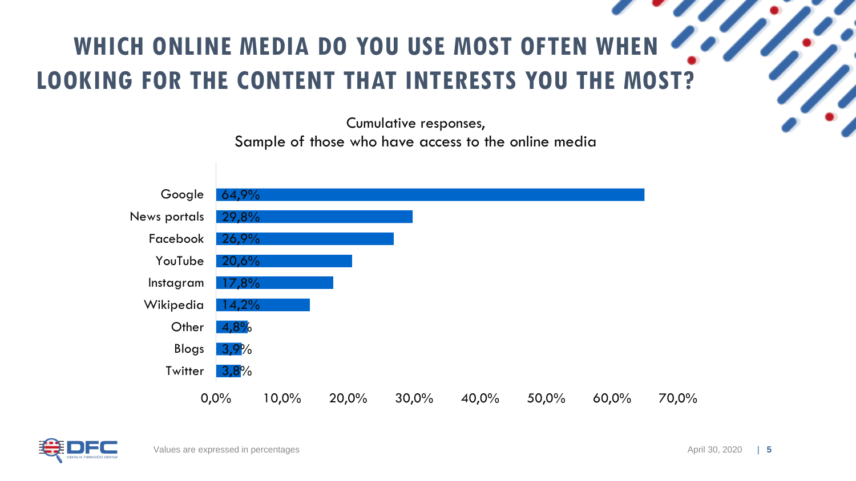#### **WHICH ONLINE MEDIA DO YOU USE MOST OFTEN WHEN LOOKING FOR THE CONTENT THAT INTERESTS YOU THE MOST?**



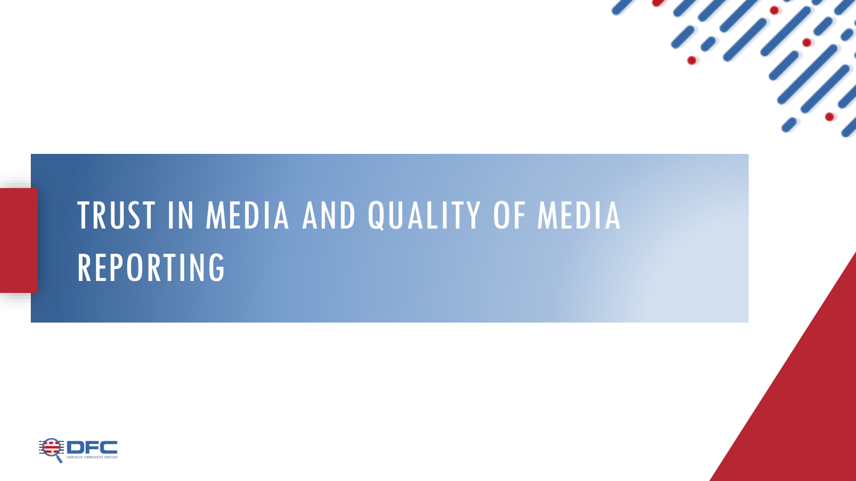

# TRUST IN MEDIA AND QUALITY OF MEDIA REPORTING

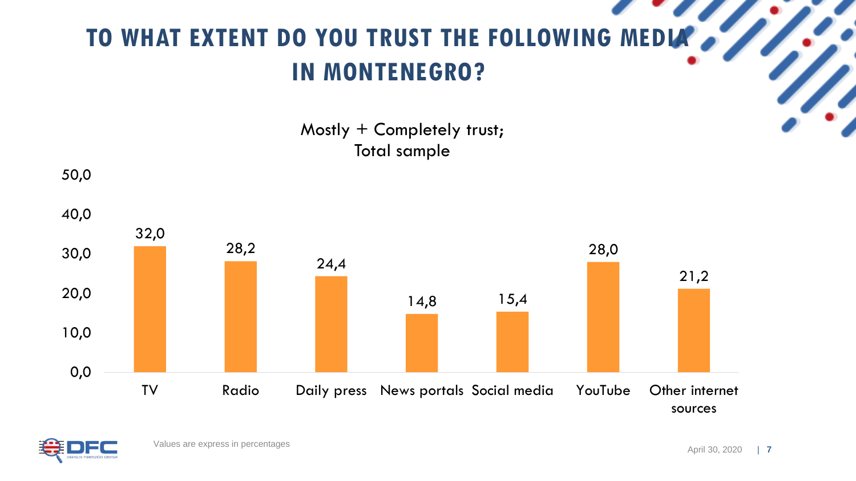## **TO WHAT EXTENT DO YOU TRUST THE FOLLOWING MEDIA IN MONTENEGRO?**

Mostly + Completely trust; Total sample



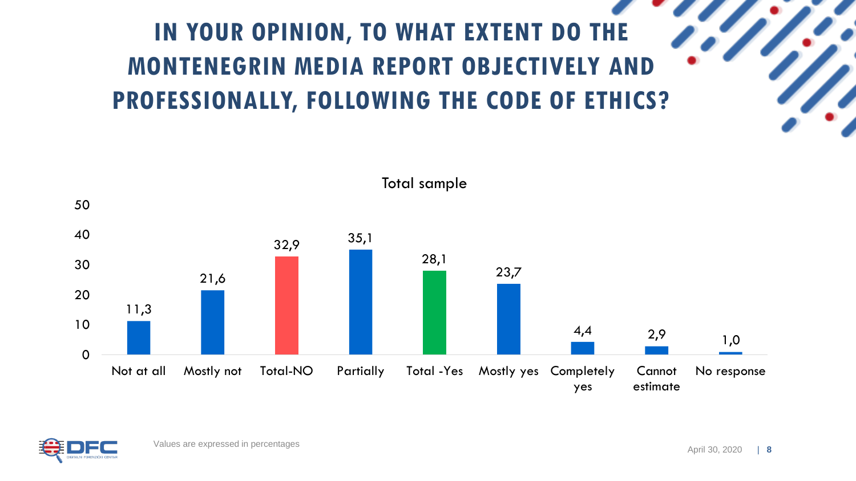## **IN YOUR OPINION, TO WHAT EXTENT DO THE MONTENEGRIN MEDIA REPORT OBJECTIVELY AND PROFESSIONALLY, FOLLOWING THE CODE OF ETHICS?**



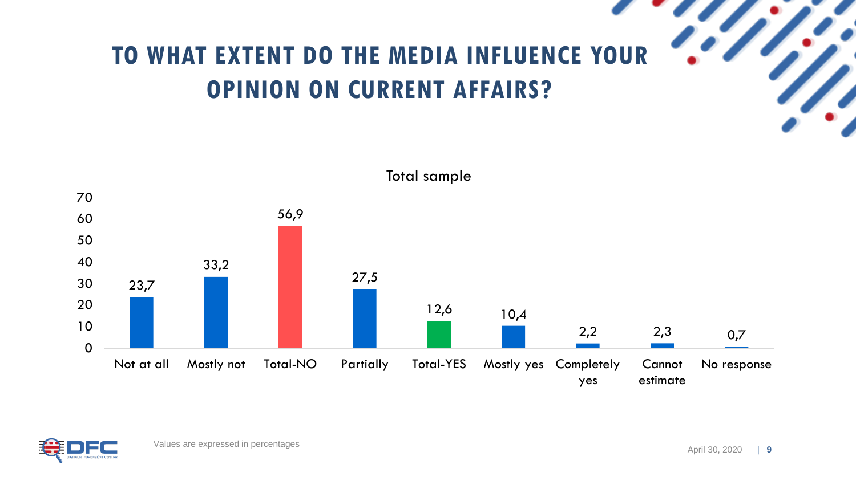





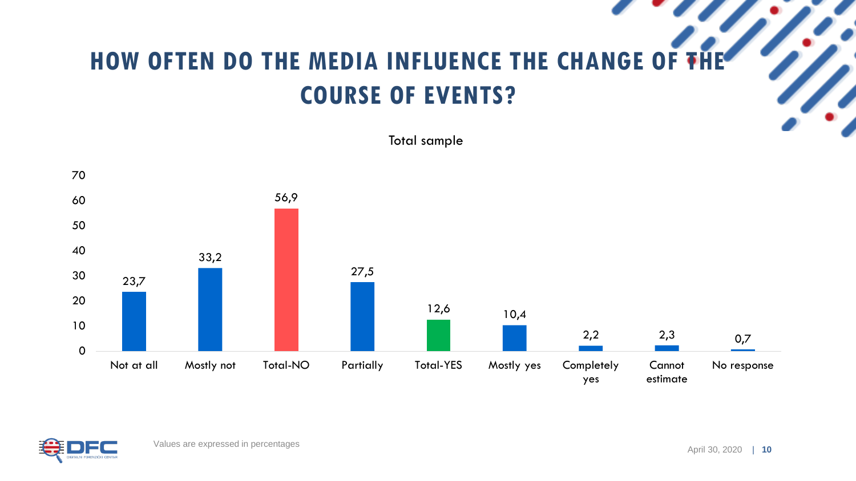#### **HOW OFTEN DO THE MEDIA INFLUENCE THE CHANGE OF THE COURSE OF EVENTS?**



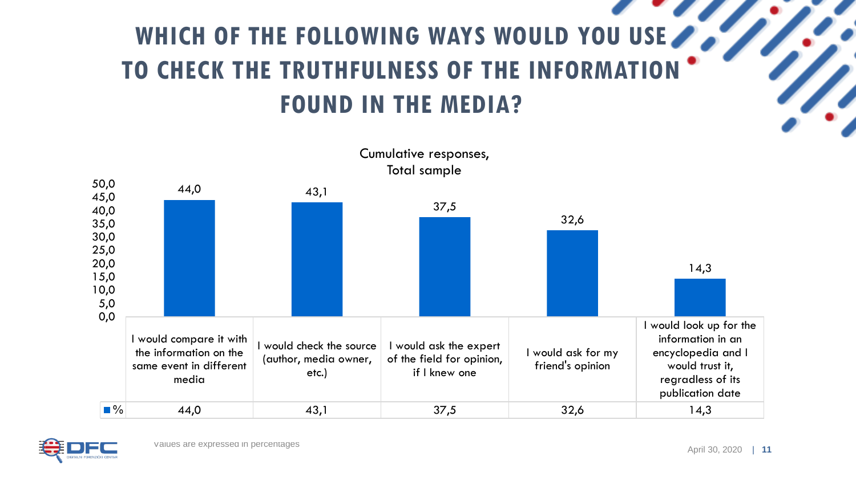## WHICH OF THE FOLLOWING WAYS WOULD YOU USE **TO CHECK THE TRUTHFULNESS OF THE INFORMATION FOUND IN THE MEDIA?**



Cumulative responses, Total sample

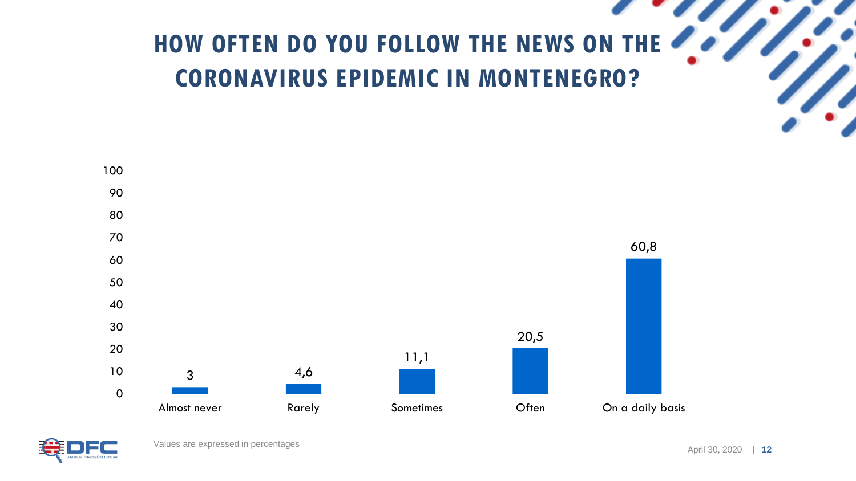# **HOW OFTEN DO YOU FOLLOW THE NEWS ON THE 2000 CORONAVIRUS EPIDEMIC IN MONTENEGRO?**



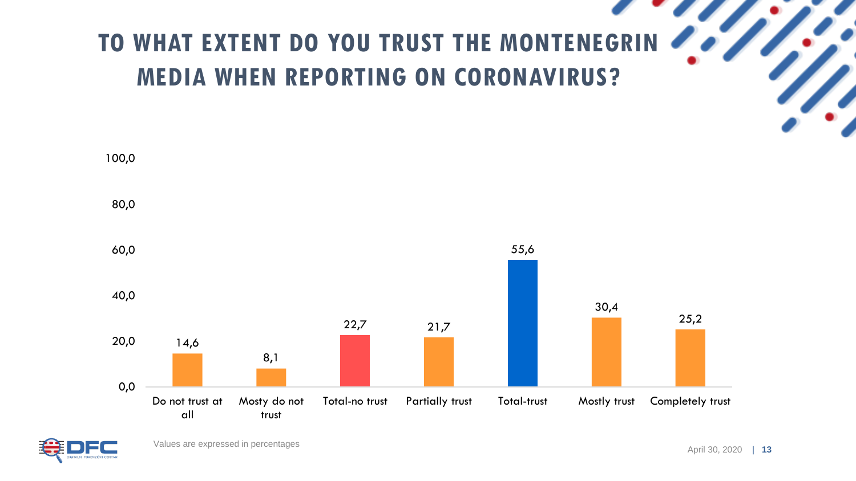# TO WHAT EXTENT DO YOU TRUST THE MONTENEGRIN **MEDIA WHEN REPORTING ON CORONAVIRUS?**



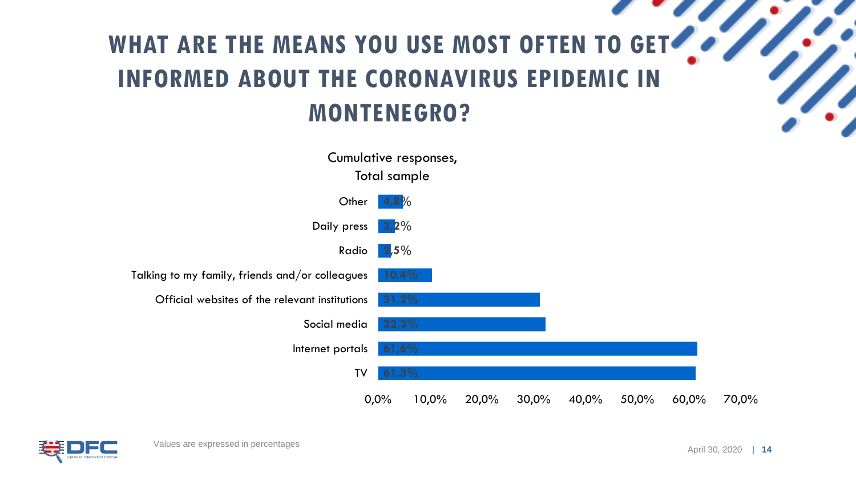## WHAT ARE THE MEANS YOU USE MOST OFTEN TO GET **INFORMED ABOUT THE CORONAVIRUS EPIDEMIC IN MONTENEGRO?**



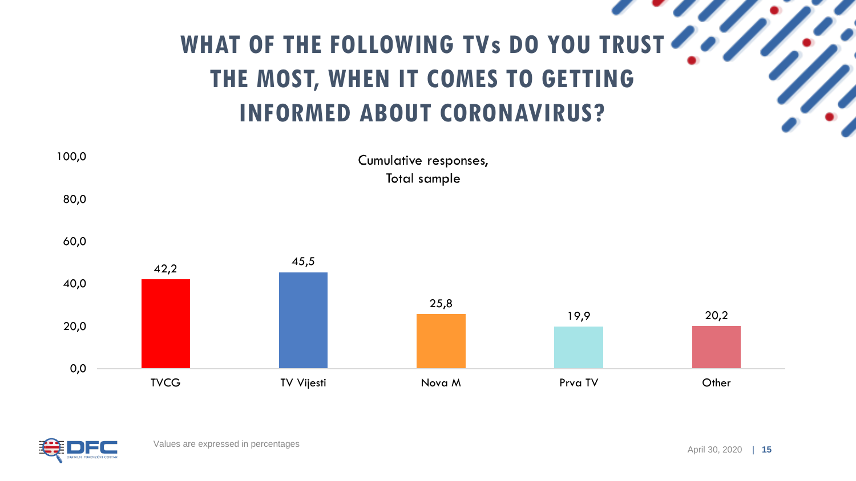# WHAT OF THE FOLLOWING TVs DO YOU TRUST **THE MOST, WHEN IT COMES TO GETTING INFORMED ABOUT CORONAVIRUS?**



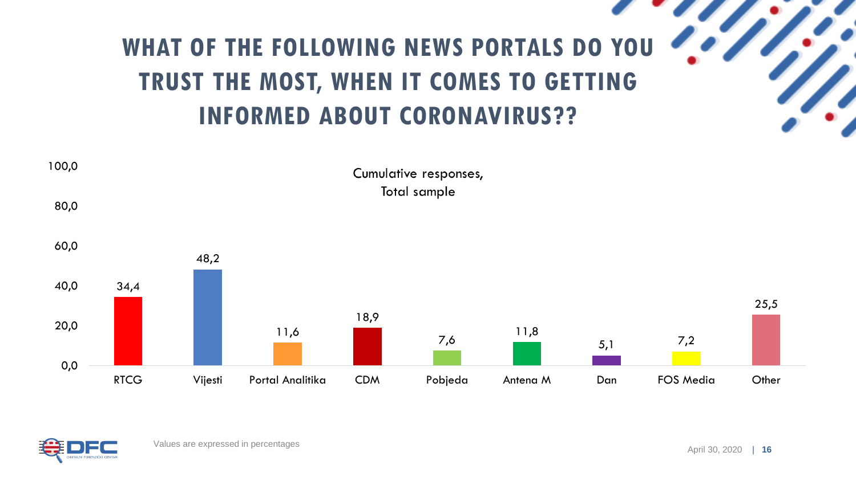## **WHAT OF THE FOLLOWING NEWS PORTALS DO YOU TRUST THE MOST, WHEN IT COMES TO GETTING INFORMED ABOUT CORONAVIRUS??**



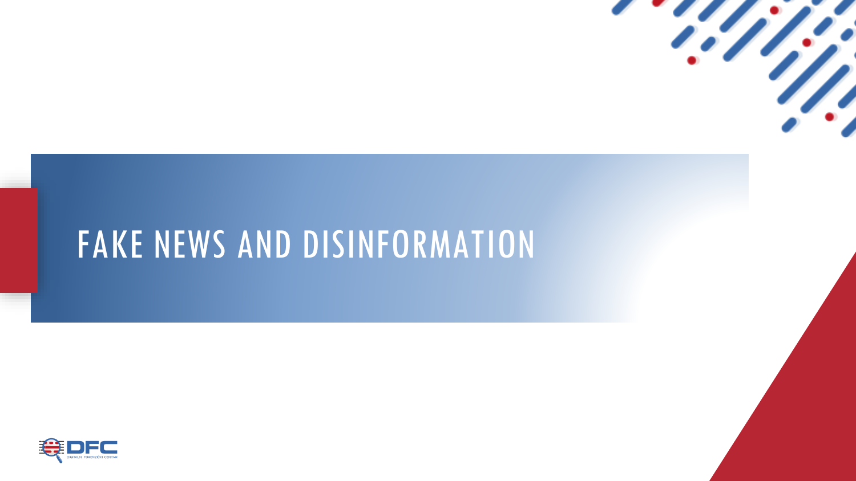

## FAKE NEWS AND DISINFORMATION

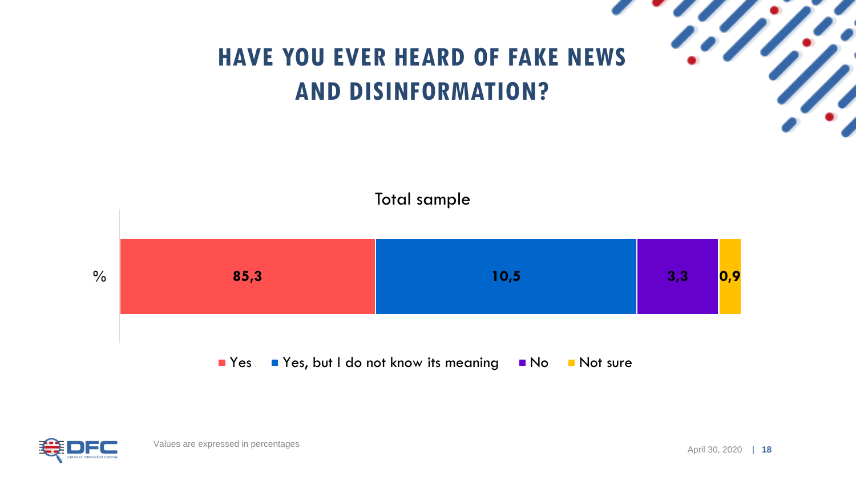

#### **HAVE YOU EVER HEARD OF FAKE NEWS AND DISINFORMATION?**



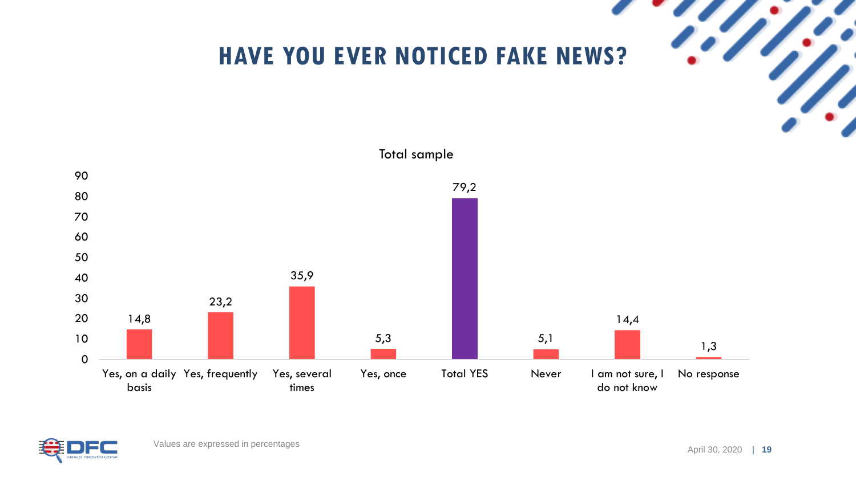

#### **HAVE YOU EVER NOTICED FAKE NEWS?**



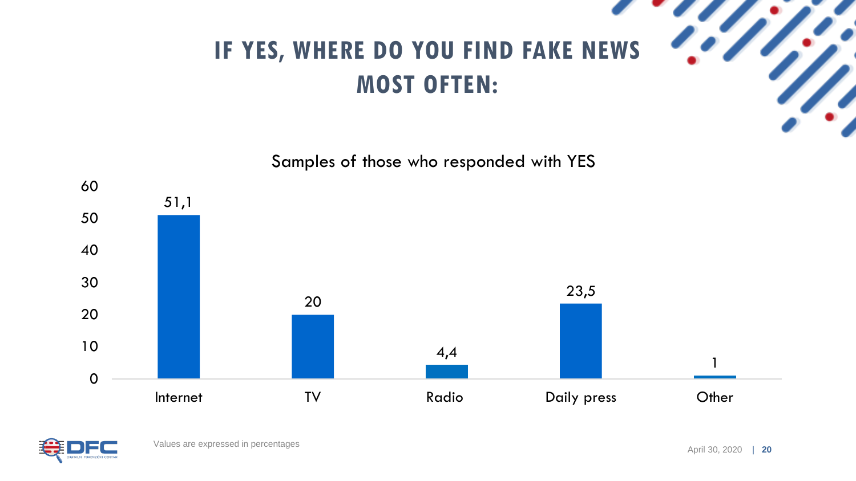

#### **IF YES, WHERE DO YOU FIND FAKE NEWS MOST OFTEN:**



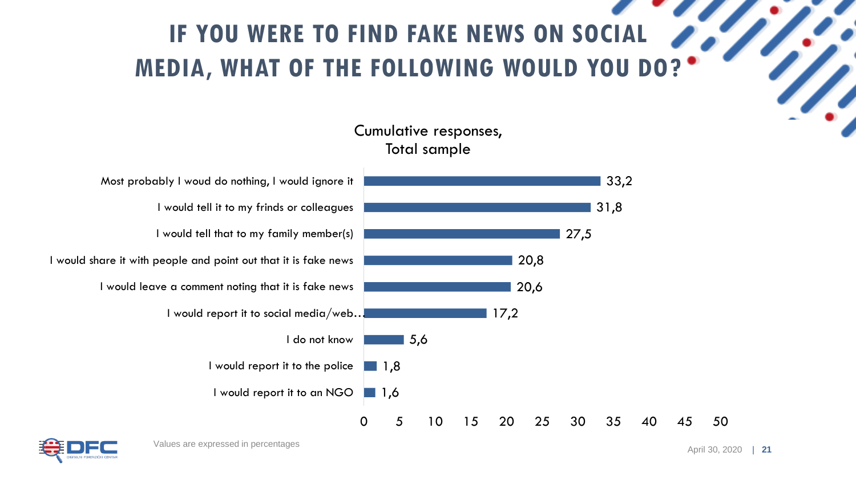### **IF YOU WERE TO FIND FAKE NEWS ON SOCIAL MEDIA, WHAT OF THE FOLLOWING WOULD YOU DO?**

#### Cumulative responses, Total sample



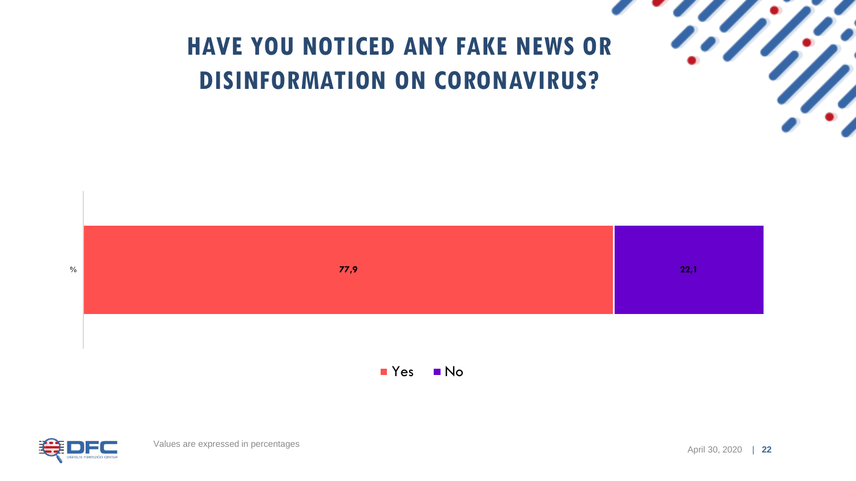

#### **HAVE YOU NOTICED ANY FAKE NEWS OR DISINFORMATION ON CORONAVIRUS?**



**No** 

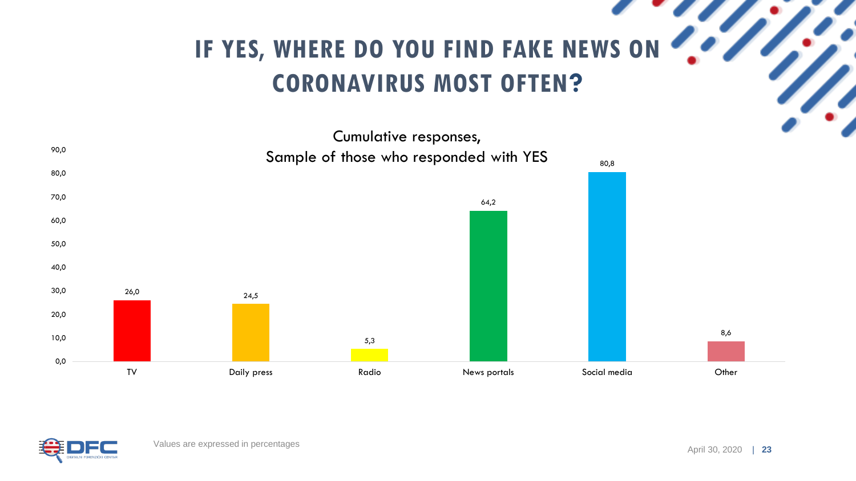# **IF YES, WHERE DO YOU FIND FAKE NEWS ON 2007 CORONAVIRUS MOST OFTEN?**



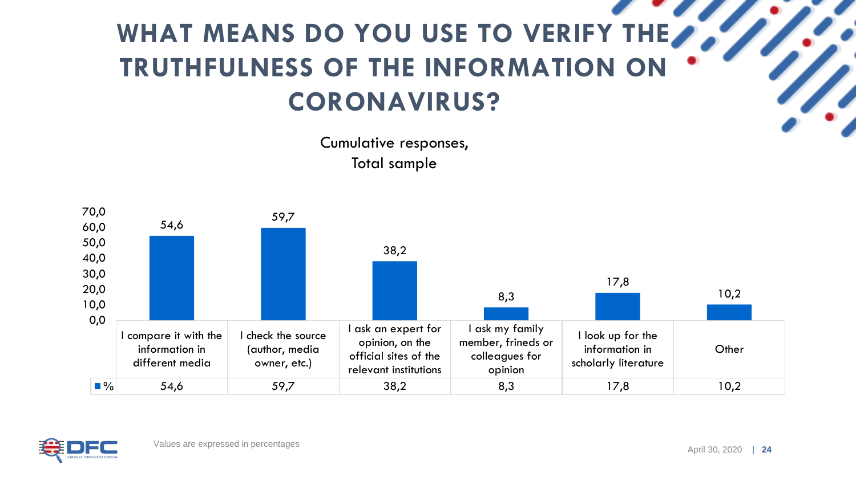## WHAT MEANS DO YOU USE TO VERIFY THE **AND THE AND RE TRUTHFULNESS OF THE INFORMATION ON CORONAVIRUS?**

Cumulative responses, Total sample



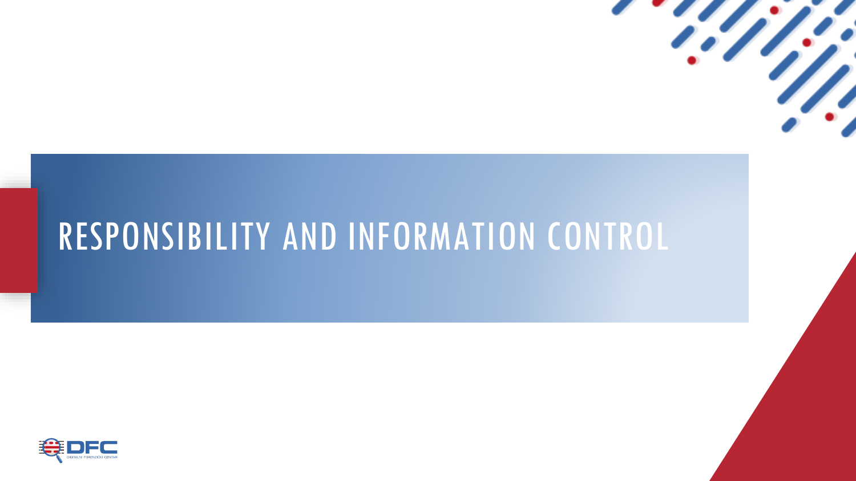

## RESPONSIBILITY AND INFORMATION CONTROL

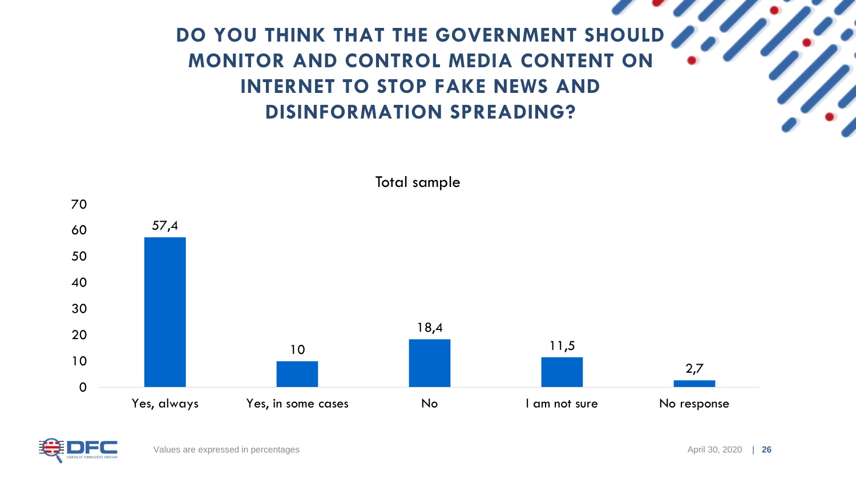#### **DO YOU THINK THAT THE GOVERNMENT SHOULD MONITOR AND CONTROL MEDIA CONTENT ON INTERNET TO STOP FAKE NEWS AND DISINFORMATION SPREADING?**



Total sample

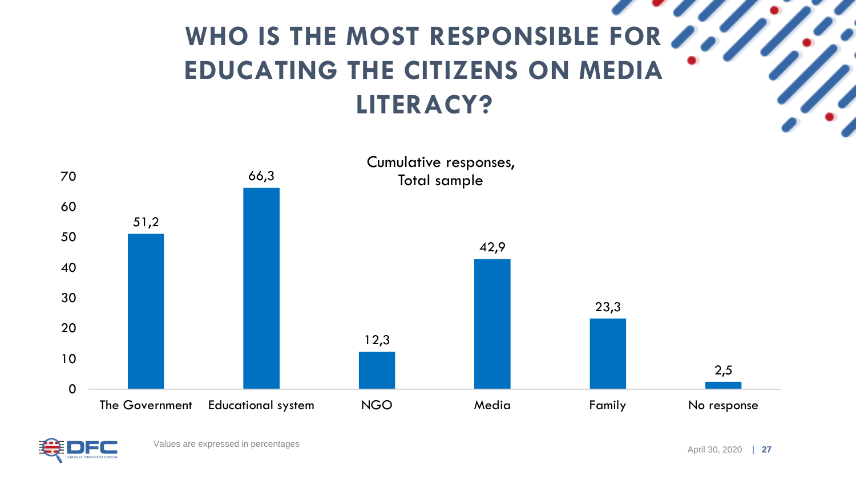## WHO IS THE MOST RESPONSIBLE FOR **PARTICIPATE EDUCATING THE CITIZENS ON MEDIA LITERACY?**